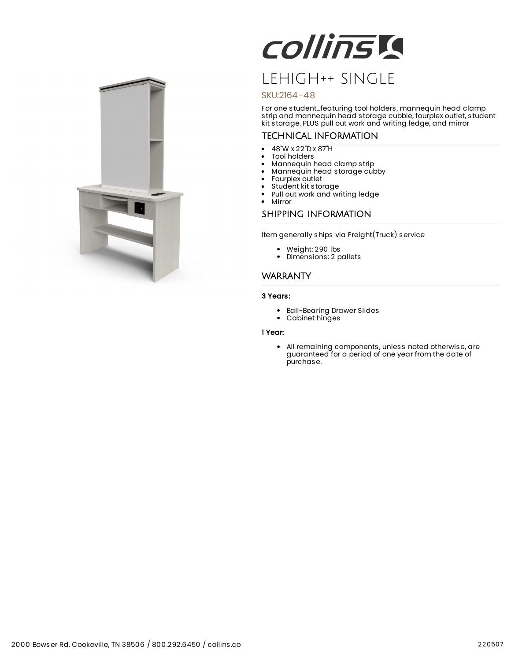

# COllinsia

# LEHIGH++ SINGLE

### SKU:2164-48

For one student...featuring tool holders, mannequin head clamp strip and mannequin head storage cubbie, fourplex outlet, student kit storage, PLUS pull out work and writing ledge, and mirror

## TECHNICAL INFORMATION

- 48"W x 22"D x 87"H  $\bullet$
- Tool holders
- $\bullet$ Mannequin head clamp strip
- $\bullet$ Mannequin head storage cubby
- Fourplex outlet
- $\bullet$ Student kit storage
- Pull out work and writing ledge
- $\bullet$ Mirror

## SHIPPING INFORMATION

Item generally ships via Freight(Truck) service

- Weight: 290 lbs
- Dimensions: 2 pallets

#### **WARRANTY**

#### 3 Years:

- Ball-Bearing Drawer Slides
- Cabinet hinges

#### 1 Year:

All remaining components, unless noted otherwise, are guaranteed for a period of one year from the date of purchase.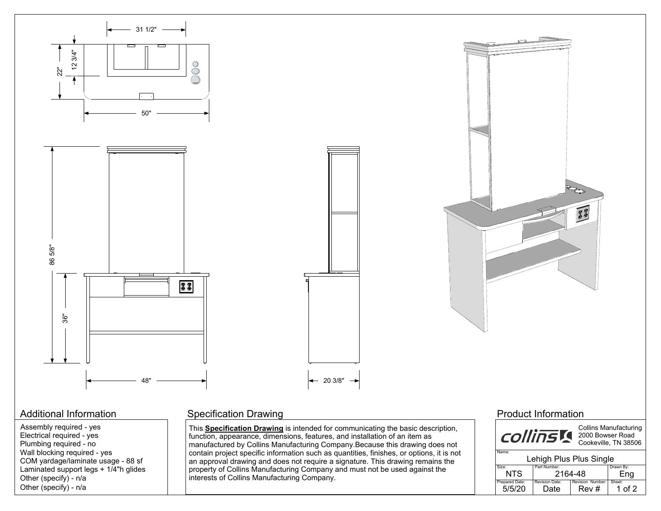